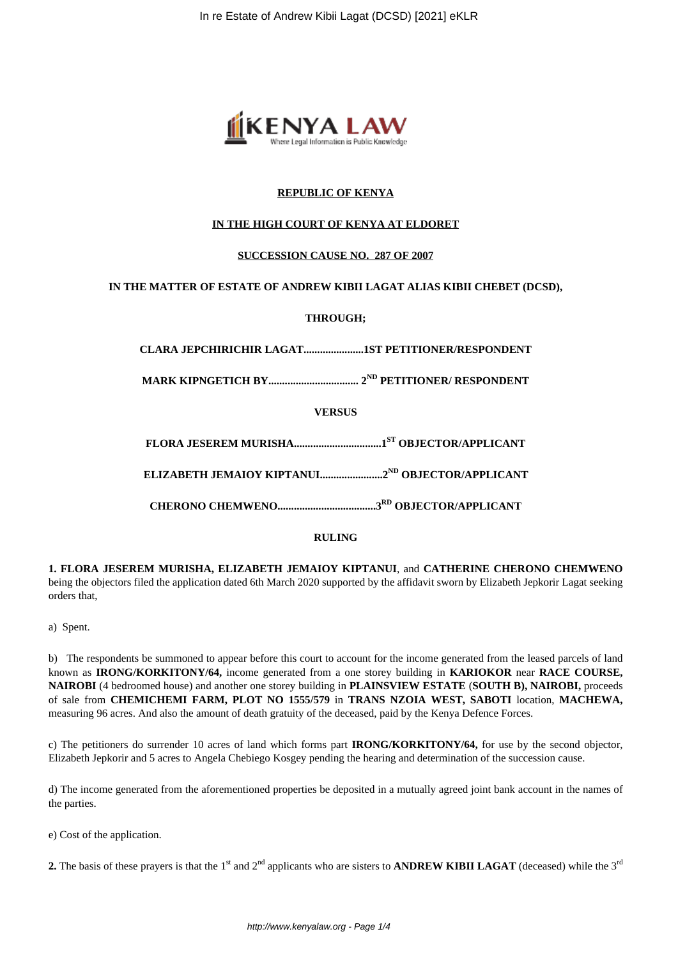

# **REPUBLIC OF KENYA**

## **IN THE HIGH COURT OF KENYA AT ELDORET**

## **SUCCESSION CAUSE NO. 287 OF 2007**

# **IN THE MATTER OF ESTATE OF ANDREW KIBII LAGAT ALIAS KIBII CHEBET (DCSD),**

# **THROUGH;**

**CLARA JEPCHIRICHIR LAGAT......................1ST PETITIONER/RESPONDENT**

**MARK KIPNGETICH BY................................. 2ND PETITIONER/ RESPONDENT**

**VERSUS**

**FLORA JESEREM MURISHA................................1ST OBJECTOR/APPLICANT**

**ELIZABETH JEMAIOY KIPTANUI.......................2ND OBJECTOR/APPLICANT**

**CHERONO CHEMWENO....................................3RD OBJECTOR/APPLICANT**

## **RULING**

**1. FLORA JESEREM MURISHA, ELIZABETH JEMAIOY KIPTANUI**, and **CATHERINE CHERONO CHEMWENO** being the objectors filed the application dated 6th March 2020 supported by the affidavit sworn by Elizabeth Jepkorir Lagat seeking orders that,

a) Spent.

b) The respondents be summoned to appear before this court to account for the income generated from the leased parcels of land known as **IRONG/KORKITONY/64,** income generated from a one storey building in **KARIOKOR** near **RACE COURSE, NAIROBI** (4 bedroomed house) and another one storey building in **PLAINSVIEW ESTATE** (**SOUTH B), NAIROBI,** proceeds of sale from **CHEMICHEMI FARM, PLOT NO 1555/579** in **TRANS NZOIA WEST, SABOTI** location, **MACHEWA,** measuring 96 acres. And also the amount of death gratuity of the deceased, paid by the Kenya Defence Forces.

c) The petitioners do surrender 10 acres of land which forms part **IRONG/KORKITONY/64,** for use by the second objector, Elizabeth Jepkorir and 5 acres to Angela Chebiego Kosgey pending the hearing and determination of the succession cause.

d) The income generated from the aforementioned properties be deposited in a mutually agreed joint bank account in the names of the parties.

e) Cost of the application.

**2.** The basis of these prayers is that the 1<sup>st</sup> and  $2^{nd}$  applicants who are sisters to **ANDREW KIBII LAGAT** (deceased) while the  $3^{rd}$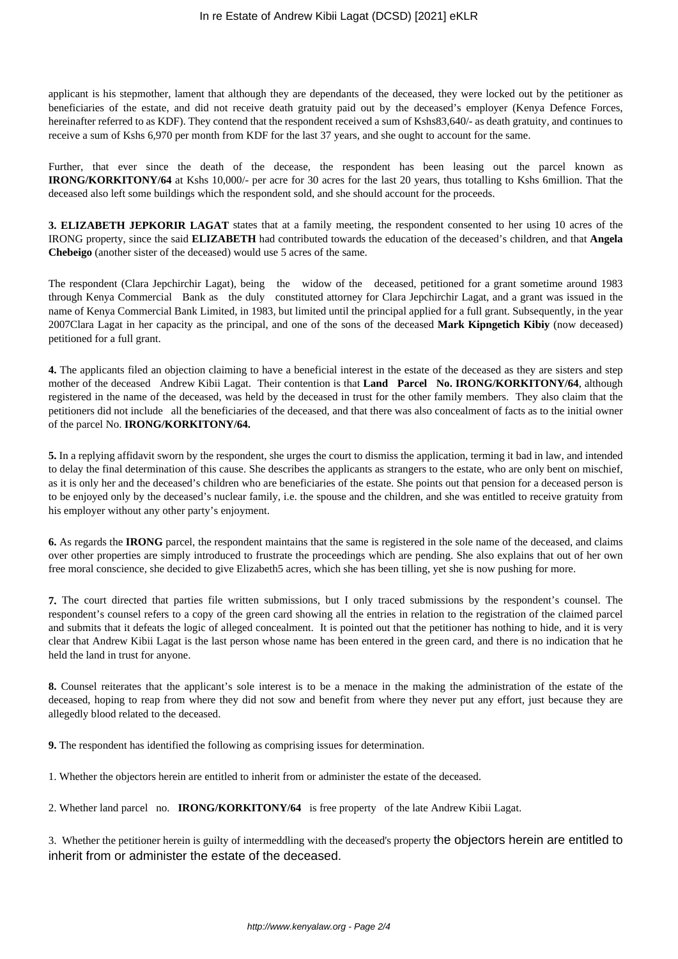applicant is his stepmother, lament that although they are dependants of the deceased, they were locked out by the petitioner as beneficiaries of the estate, and did not receive death gratuity paid out by the deceased's employer (Kenya Defence Forces, hereinafter referred to as KDF). They contend that the respondent received a sum of Kshs83,640/- as death gratuity, and continues to receive a sum of Kshs 6,970 per month from KDF for the last 37 years, and she ought to account for the same.

Further, that ever since the death of the decease, the respondent has been leasing out the parcel known as **IRONG/KORKITONY/64** at Kshs 10,000/- per acre for 30 acres for the last 20 years, thus totalling to Kshs 6million. That the deceased also left some buildings which the respondent sold, and she should account for the proceeds.

**3. ELIZABETH JEPKORIR LAGAT** states that at a family meeting, the respondent consented to her using 10 acres of the IRONG property, since the said **ELIZABETH** had contributed towards the education of the deceased's children, and that **Angela Chebeigo** (another sister of the deceased) would use 5 acres of the same.

The respondent (Clara Jepchirchir Lagat), being the widow of the deceased, petitioned for a grant sometime around 1983 through Kenya Commercial Bank as the duly constituted attorney for Clara Jepchirchir Lagat, and a grant was issued in the name of Kenya Commercial Bank Limited, in 1983, but limited until the principal applied for a full grant. Subsequently, in the year 2007Clara Lagat in her capacity as the principal, and one of the sons of the deceased **Mark Kipngetich Kibiy** (now deceased) petitioned for a full grant.

**4.** The applicants filed an objection claiming to have a beneficial interest in the estate of the deceased as they are sisters and step mother of the deceased Andrew Kibii Lagat. Their contention is that **Land Parcel No. IRONG/KORKITONY/64**, although registered in the name of the deceased, was held by the deceased in trust for the other family members. They also claim that the petitioners did not include all the beneficiaries of the deceased, and that there was also concealment of facts as to the initial owner of the parcel No. **IRONG/KORKITONY/64.**

**5.** In a replying affidavit sworn by the respondent, she urges the court to dismiss the application, terming it bad in law, and intended to delay the final determination of this cause. She describes the applicants as strangers to the estate, who are only bent on mischief, as it is only her and the deceased's children who are beneficiaries of the estate. She points out that pension for a deceased person is to be enjoyed only by the deceased's nuclear family, i.e. the spouse and the children, and she was entitled to receive gratuity from his employer without any other party's enjoyment.

**6.** As regards the **IRONG** parcel, the respondent maintains that the same is registered in the sole name of the deceased, and claims over other properties are simply introduced to frustrate the proceedings which are pending. She also explains that out of her own free moral conscience, she decided to give Elizabeth5 acres, which she has been tilling, yet she is now pushing for more.

**7.** The court directed that parties file written submissions, but I only traced submissions by the respondent's counsel. The respondent's counsel refers to a copy of the green card showing all the entries in relation to the registration of the claimed parcel and submits that it defeats the logic of alleged concealment. It is pointed out that the petitioner has nothing to hide, and it is very clear that Andrew Kibii Lagat is the last person whose name has been entered in the green card, and there is no indication that he held the land in trust for anyone.

**8.** Counsel reiterates that the applicant's sole interest is to be a menace in the making the administration of the estate of the deceased, hoping to reap from where they did not sow and benefit from where they never put any effort, just because they are allegedly blood related to the deceased.

**9.** The respondent has identified the following as comprising issues for determination.

1. Whether the objectors herein are entitled to inherit from or administer the estate of the deceased.

2. Whether land parcel no. **IRONG/KORKITONY/64** is free property of the late Andrew Kibii Lagat.

3. Whether the petitioner herein is guilty of intermeddling with the deceased's property the objectors herein are entitled to inherit from or administer the estate of the deceased.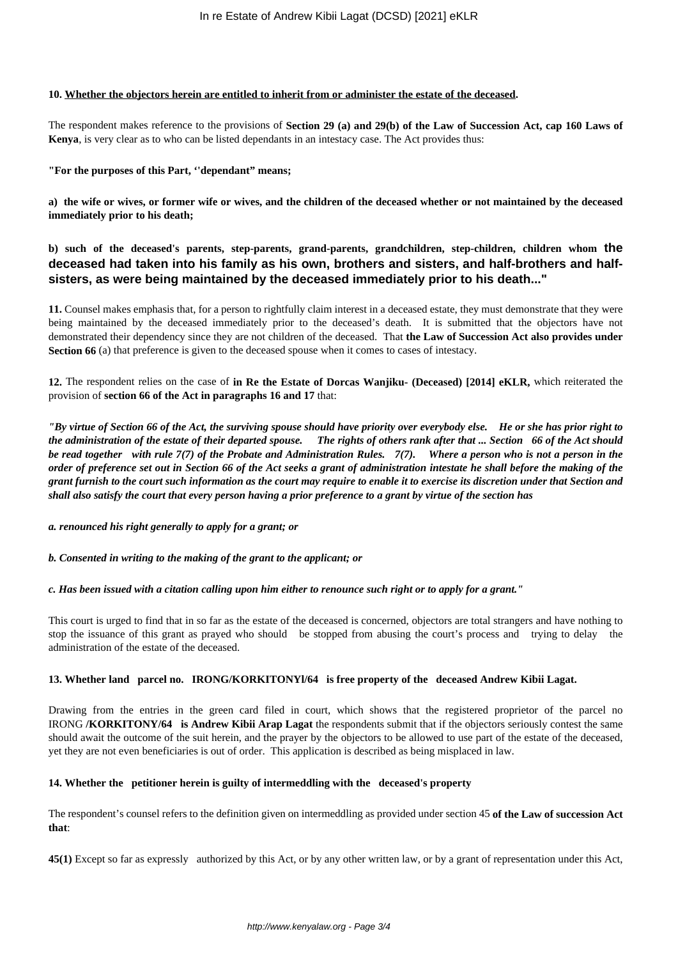#### **10. Whether the objectors herein are entitled to inherit from or administer the estate of the deceased.**

The respondent makes reference to the provisions of **Section 29 (a) and 29(b) of the Law of Succession Act, cap 160 Laws of Kenya**, is very clear as to who can be listed dependants in an intestacy case. The Act provides thus:

#### **"For the purposes of this Part, ''dependant" means;**

**a) the wife or wives, or former wife or wives, and the children of the deceased whether or not maintained by the deceased immediately prior to his death;**

# **b) such of the deceased's parents, step-parents, grand-parents, grandchildren, step-children, children whom the deceased had taken into his family as his own, brothers and sisters, and half-brothers and halfsisters, as were being maintained by the deceased immediately prior to his death..."**

**11.** Counsel makes emphasis that, for a person to rightfully claim interest in a deceased estate, they must demonstrate that they were being maintained by the deceased immediately prior to the deceased's death. It is submitted that the objectors have not demonstrated their dependency since they are not children of the deceased. That **the Law of Succession Act also provides under Section 66** (a) that preference is given to the deceased spouse when it comes to cases of intestacy.

**12.** The respondent relies on the case of **in Re the Estate of Dorcas Wanjiku- (Deceased) [2014] eKLR,** which reiterated the provision of **section 66 of the Act in paragraphs 16 and 17** that:

*"By virtue of Section 66 of the Act, the surviving spouse should have priority over everybody else. He or she has prior right to the administration of the estate of their departed spouse. The rights of others rank after that ... Section 66 of the Act should be read together with rule 7(7) of the Probate and Administration Rules. 7(7). Where a person who is not a person in the order of preference set out in Section 66 of the Act seeks a grant of administration intestate he shall before the making of the grant furnish to the court such information as the court may require to enable it to exercise its discretion under that Section and shall also satisfy the court that every person having a prior preference to a grant by virtue of the section has* 

*a. renounced his right generally to apply for a grant; or*

*b. Consented in writing to the making of the grant to the applicant; or*

*c. Has been issued with a citation calling upon him either to renounce such right or to apply for a grant."*

This court is urged to find that in so far as the estate of the deceased is concerned, objectors are total strangers and have nothing to stop the issuance of this grant as prayed who should be stopped from abusing the court's process and trying to delay the administration of the estate of the deceased.

## **13. Whether land parcel no. IRONG/KORKITONYl/64 is free property of the deceased Andrew Kibii Lagat.**

Drawing from the entries in the green card filed in court, which shows that the registered proprietor of the parcel no IRONG **/KORKITONY/64 is Andrew Kibii Arap Lagat** the respondents submit that if the objectors seriously contest the same should await the outcome of the suit herein, and the prayer by the objectors to be allowed to use part of the estate of the deceased, yet they are not even beneficiaries is out of order. This application is described as being misplaced in law.

## **14. Whether the petitioner herein is guilty of intermeddling with the deceased's property**

The respondent's counsel refers to the definition given on intermeddling as provided under section 45 **of the Law of succession Act that**:

**45(1)** Except so far as expressly authorized by this Act, or by any other written law, or by a grant of representation under this Act,